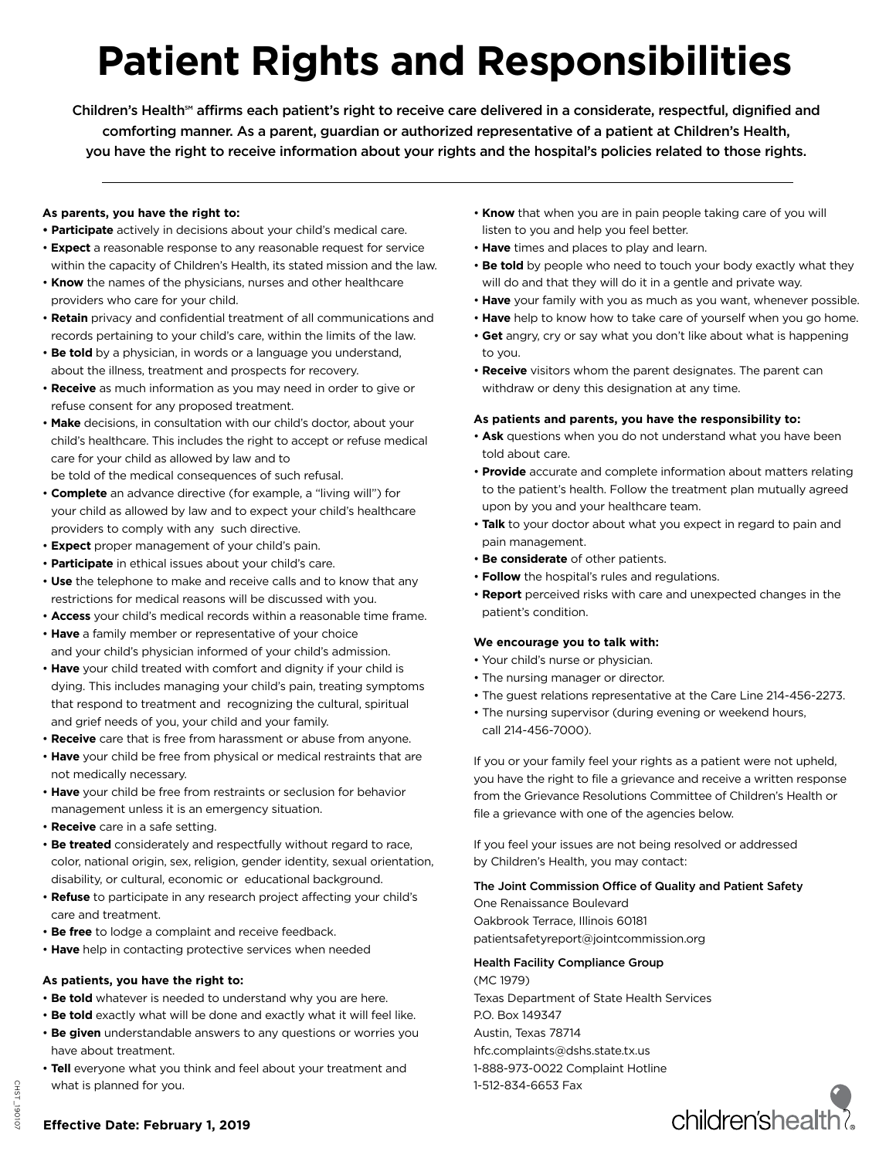# **Patient Rights and Responsibilities**

Children's Health<sup>®</sup> affirms each patient's right to receive care delivered in a considerate, respectful, dignified and comforting manner. As a parent, guardian or authorized representative of a patient at Children's Health, you have the right to receive information about your rights and the hospital's policies related to those rights.

### **As parents, you have the right to:**

- **Participate** actively in decisions about your child's medical care.
- **Expect** a reasonable response to any reasonable request for service within the capacity of Children's Health, its stated mission and the law.
- **Know** the names of the physicians, nurses and other healthcare providers who care for your child.
- **Retain** privacy and confidential treatment of all communications and records pertaining to your child's care, within the limits of the law.
- **Be told** by a physician, in words or a language you understand, about the illness, treatment and prospects for recovery.
- **Receive** as much information as you may need in order to give or refuse consent for any proposed treatment.
- **Make** decisions, in consultation with our child's doctor, about your child's healthcare. This includes the right to accept or refuse medical care for your child as allowed by law and to
- be told of the medical consequences of such refusal. • **Complete** an advance directive (for example, a "living will") for
- your child as allowed by law and to expect your child's healthcare providers to comply with any such directive.
- **Expect** proper management of your child's pain.
- **Participate** in ethical issues about your child's care.
- **Use** the telephone to make and receive calls and to know that any restrictions for medical reasons will be discussed with you.
- **Access** your child's medical records within a reasonable time frame.
- **Have** a family member or representative of your choice and your child's physician informed of your child's admission.
- **Have** your child treated with comfort and dignity if your child is dying. This includes managing your child's pain, treating symptoms that respond to treatment and recognizing the cultural, spiritual and grief needs of you, your child and your family.
- **Receive** care that is free from harassment or abuse from anyone.
- **Have** your child be free from physical or medical restraints that are not medically necessary.
- **Have** your child be free from restraints or seclusion for behavior management unless it is an emergency situation.
- **Receive** care in a safe setting.
- **Be treated** considerately and respectfully without regard to race, color, national origin, sex, religion, gender identity, sexual orientation, disability, or cultural, economic or educational background.
- **Refuse** to participate in any research project affecting your child's care and treatment.
- **Be free** to lodge a complaint and receive feedback.
- **Have** help in contacting protective services when needed

### **As patients, you have the right to:**

- **Be told** whatever is needed to understand why you are here.
- **Be told** exactly what will be done and exactly what it will feel like.
- **Be given** understandable answers to any questions or worries you have about treatment.
- **Tell** everyone what you think and feel about your treatment and what is planned for you.
- **Know** that when you are in pain people taking care of you will listen to you and help you feel better.
- **Have** times and places to play and learn.
- **Be told** by people who need to touch your body exactly what they will do and that they will do it in a gentle and private way.
- **Have** your family with you as much as you want, whenever possible.
- **Have** help to know how to take care of yourself when you go home.
- **Get** angry, cry or say what you don't like about what is happening to you.
- **Receive** visitors whom the parent designates. The parent can withdraw or deny this designation at any time.

### **As patients and parents, you have the responsibility to:**

- **Ask** questions when you do not understand what you have been told about care.
- **Provide** accurate and complete information about matters relating to the patient's health. Follow the treatment plan mutually agreed upon by you and your healthcare team.
- **Talk** to your doctor about what you expect in regard to pain and pain management.
- **Be considerate** of other patients.
- **Follow** the hospital's rules and regulations.
- **Report** perceived risks with care and unexpected changes in the patient's condition.

#### **We encourage you to talk with:**

- Your child's nurse or physician.
- The nursing manager or director.
- The guest relations representative at the Care Line 214-456-2273.
- The nursing supervisor (during evening or weekend hours, call 214-456-7000).

If you or your family feel your rights as a patient were not upheld, you have the right to file a grievance and receive a written response from the Grievance Resolutions Committee of Children's Health or file a grievance with one of the agencies below.

If you feel your issues are not being resolved or addressed by Children's Health, you may contact:

### The Joint Commission Office of Quality and Patient Safety

One Renaissance Boulevard Oakbrook Terrace, Illinois 60181 patientsafetyreport@jointcommission.org

## Health Facility Compliance Group

(MC 1979) Texas Department of State Health Services P.O. Box 149347 Austin, Texas 78714 hfc.complaints@dshs.state.tx.us 1-888-973-0022 Complaint Hotline 1-512-834-6653 Fax